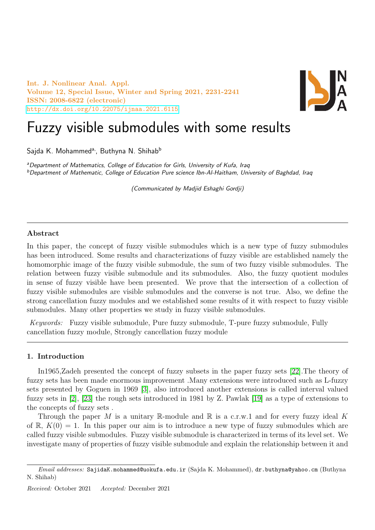Int. J. Nonlinear Anal. Appl. Volume 12, Special Issue, Winter and Spring 2021, 2231-2241 ISSN: 2008-6822 (electronic) <http://dx.doi.org/10.22075/ijnaa.2021.6115>



# Fuzzy visible submodules with some results

Sajda K. Mohammed<sup>a,</sup>, Buthyna N. Shihab<sup>b</sup>

<sup>a</sup>Department of Mathematics, College of Education for Girls, University of Kufa, Iraq  $b$ Department of Mathematic, College of Education Pure science Ibn-Al-Haitham, University of Baghdad, Iraq

(Communicated by Madjid Eshaghi Gordji)

## Abstract

In this paper, the concept of fuzzy visible submodules which is a new type of fuzzy submodules has been introduced. Some results and characterizations of fuzzy visible are established namely the homomorphic image of the fuzzy visible submodule, the sum of two fuzzy visible submodules. The relation between fuzzy visible submodule and its submodules. Also, the fuzzy quotient modules in sense of fuzzy visible have been presented. We prove that the intersection of a collection of fuzzy visible submodules are visible submodules and the converse is not true. Also, we define the strong cancellation fuzzy modules and we established some results of it with respect to fuzzy visible submodules. Many other properties we study in fuzzy visible submodules.

Keywords: Fuzzy visible submodule, Pure fuzzy submodule, T-pure fuzzy submodule, Fully cancellation fuzzy module, Strongly cancellation fuzzy module

#### 1. Introduction

In1965,Zadeh presented the concept of fuzzy subsets in the paper fuzzy sets [\[22\]](#page-10-0).The theory of fuzzy sets has been made enormous improvement .Many extensions were introduced such as L-fuzzy sets presented by Goguen in 1969 [\[3\]](#page-10-1), also introduced another extensions is called interval valued fuzzy sets in [\[2\]](#page-10-2), [\[23\]](#page-10-3) the rough sets introduced in 1981 by Z. Pawlak [\[19\]](#page-10-4) as a type of extensions to the concepts of fuzzy sets .

Through the paper M is a unitary R-module and R is a c.r.w.1 and for every fuzzy ideal K of  $\mathbb{R}, K(0) = 1$ . In this paper our aim is to introduce a new type of fuzzy submodules which are called fuzzy visible submodules. Fuzzy visible submodule is characterized in terms of its level set. We investigate many of properties of fuzzy visible submodule and explain the relationship between it and

 $Email \ addresses:$  SajidaK.mohammed@uokufa.edu.ir (Sajda K. Mohammed), dr.buthyna@yahoo.cm (Buthyna N. Shihab)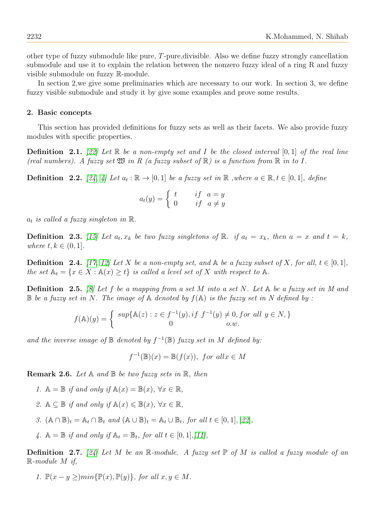other type of fuzzy submodule like pure, T-pure,divisible. Also we define fuzzy strongly cancellation submodule and use it to explain the relation between the nonzero fuzzy ideal of a ring R and fuzzy visible submodule on fuzzy R-module.

In section 2,we give some preliminaries which are necessary to our work. In section 3, we define fuzzy visible submodule and study it by give some examples and prove some results.

#### 2. Basic concepts

This section has provided definitions for fuzzy sets as well as their facets. We also provide fuzzy modules with specific properties.

**Definition** 2.1. [\[22\]](#page-10-0) Let  $\mathbb R$  be a non-empty set and I be the closed interval  $[0,1]$  of the real line (real numbers). A fuzzy set  $\mathfrak W$  in R (a fuzzy subset of  $\mathbb R$ ) is a function from  $\mathbb R$  in to I.

**Definition** 2.2. [\[24,](#page-10-5) [4\]](#page-10-6) Let  $a_t : \mathbb{R} \to [0, 1]$  be a fuzzy set in  $\mathbb{R}$  , where  $a \in \mathbb{R}$ ,  $t \in [0, 1]$ , define

$$
a_t(y) = \begin{cases} t & \text{if } a = y \\ 0 & \text{if } a \neq y \end{cases}
$$

 $a_t$  is called a fuzzy singleton in  $\mathbb{R}$ .

**Definition** 2.3. [\[15\]](#page-10-7) Let  $a_t, x_k$  be two fuzzy singletons of  $\mathbb{R}$ . if  $a_t = x_k$ , then  $a = x$  and  $t = k$ , where  $t, k \in (0, 1]$ .

**Definition** 2.4. [\[17,](#page-10-8) [12\]](#page-10-9) Let X be a non-empty set, and  $\mathbb{A}$  be a fuzzy subset of X, for all,  $t \in [0,1]$ , the set  $\mathbb{A}_t = \{x \in X : \mathbb{A}(x) \geq t\}$  is called a level set of X with respect to  $\mathbb{A}$ .

**Definition** 2.5. [\[8\]](#page-10-10) Let f be a mapping from a set M into a set N. Let  $\mathbb{A}$  be a fuzzy set in M and  $\mathbb B$  be a fuzzy set in N. The image of  $\mathbb A$  denoted by  $f(\mathbb A)$  is the fuzzy set in N defined by :

$$
f(\mathbb{A})(y) = \begin{cases} \sup\{\mathbb{A}(z) : z \in f^{-1}(y), \text{if } f^{-1}(y) \neq 0, \text{for all } y \in N, \} \\ 0 & \text{o.w.} \end{cases}
$$

and the inverse image of  $\mathbb B$  denoted by  $f^{-1}(\mathbb B)$  fuzzy set in M defined by:

$$
f^{-1}(\mathbb{B})(x) = \mathbb{B}(f(x)),
$$
 for all  $x \in M$ 

**Remark 2.6.** Let  $A$  and  $B$  be two fuzzy sets in  $R$ , then

- 1.  $\mathbb{A} = \mathbb{B}$  if and only if  $\mathbb{A}(x) = \mathbb{B}(x)$ ,  $\forall x \in \mathbb{R}$ ,
- 2.  $\mathbb{A} \subseteq \mathbb{B}$  if and only if  $\mathbb{A}(x) \leq \mathbb{B}(x)$ ,  $\forall x \in \mathbb{R}$ ,
- 3.  $(A \cap \mathbb{B})_t = A_t \cap \mathbb{B}_t$  and  $(A \cup \mathbb{B})_t = A_t \cup \mathbb{B}_t$ , for all  $t \in [0,1], [22]$  $t \in [0,1], [22]$  $t \in [0,1], [22]$ ,
- 4.  $A = \mathbb{B}$  if and only if  $A_t = B_t$ , for all  $t \in [0, 1], [11],$  $t \in [0, 1], [11],$  $t \in [0, 1], [11],$

**Definition 2.7.** [\[24\]](#page-10-5) Let M be an R-module. A fuzzy set  $\mathbb P$  of M is called a fuzzy module of an R-module M if,

1.  $\mathbb{P}(x - y > min\{\mathbb{P}(x), \mathbb{P}(y)\},$  for all  $x, y \in M$ .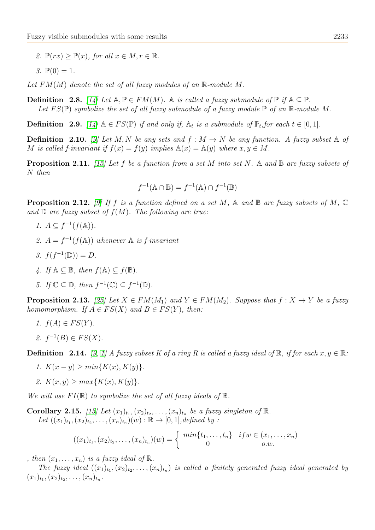2.  $\mathbb{P}(rx) \geq \mathbb{P}(x)$ , for all  $x \in M, r \in \mathbb{R}$ .

$$
3. \mathbb{P}(0) = 1.
$$

Let  $FM(M)$  denote the set of all fuzzy modules of an  $\mathbb{R}$ -module M.

**Definition** 2.8. [\[14\]](#page-10-12) Let  $A, \mathbb{P} \in FM(M)$ . A is called a fuzzy submodule of  $\mathbb{P}$  if  $A \subseteq \mathbb{P}$ . Let  $FS(\mathbb{P})$  symbolize the set of all fuzzy submodule of a fuzzy module  $\mathbb{P}$  of an  $\mathbb{R}$ -module M.

**Definition** 2.9. [\[14\]](#page-10-12)  $A \in FS(\mathbb{P})$  if and only if,  $A_t$  is a submodule of  $\mathbb{P}_t$ , for each  $t \in [0,1]$ .

**Definition** 2.10. [\[9\]](#page-10-13) Let M, N be any sets and  $f : M \to N$  be any function. A fuzzy subset  $\mathbb{A}$  of M is called f-invariant if  $f(x) = f(y)$  implies  $\mathbb{A}(x) = \mathbb{A}(y)$  where  $x, y \in M$ .

**Proposition 2.11.** [\[15\]](#page-10-7) Let f be a function from a set M into set N. A and  $\mathbb{B}$  are fuzzy subsets of N then

$$
f^{-1}(\mathbb{A}\cap\mathbb{B})=f^{-1}(\mathbb{A})\cap f^{-1}(\mathbb{B})
$$

**Proposition 2.12.** [\[9\]](#page-10-13) If f is a function defined on a set M, A and B are fuzzy subsets of M,  $\mathbb{C}$ and  $\mathbb D$  are fuzzy subset of  $f(M)$ . The following are true:

- 1.  $A \subseteq f^{-1}(f(\mathbb{A})).$
- 2.  $A = f^{-1}(f(A))$  whenever A is f-invariant
- 3.  $f(f^{-1}(\mathbb{D})) = D$ .
- 4. If  $\mathbb{A} \subseteq \mathbb{B}$ , then  $f(\mathbb{A}) \subseteq f(\mathbb{B})$ .
- 5. If  $\mathbb{C} \subseteq \mathbb{D}$ , then  $f^{-1}(\mathbb{C}) \subseteq f^{-1}(\mathbb{D})$ .

**Proposition 2.13.** [\[25\]](#page-10-14) Let  $X \in FM(M_1)$  and  $Y \in FM(M_2)$ . Suppose that  $f : X \to Y$  be a fuzzy homomorphism. If  $A \in FS(X)$  and  $B \in FS(Y)$ , then:

- 1.  $f(A) \in FS(Y)$ .
- 2.  $f^{-1}(B) \in FS(X)$ .

**Definition** 2.14. [\[9,](#page-10-13) [1\]](#page-10-15) A fuzzy subset K of a ring R is called a fuzzy ideal of R, if for each  $x, y \in \mathbb{R}$ :

- 1.  $K(x y) \geq min\{K(x), K(y)\}.$
- 2.  $K(x, y) \geq max\{K(x), K(y)\}.$

We will use  $FI(\mathbb{R})$  to symbolize the set of all fuzzy ideals of  $\mathbb{R}$ .

Corollary 2.15. [\[15\]](#page-10-7) Let  $(x_1)_{t_1}, (x_2)_{t_2}, \ldots, (x_n)_{t_n}$  be a fuzzy singleton of  $\mathbb R$ . Let  $((x_1)_{t_1}, (x_2)_{t_2}, \ldots, (x_n)_{t_n})(w) : \mathbb{R} \to [0, 1]$ , defined by :

$$
((x_1)_{t_1}, (x_2)_{t_2}, \ldots, (x_n)_{t_n})(w) = \begin{cases} \min\{t_1, \ldots, t_n\} & if w \in (x_1, \ldots, x_n) \\ 0 & o.w. \end{cases}
$$

, then  $(x_1, \ldots, x_n)$  is a fuzzy ideal of  $\mathbb{R}$ .

The fuzzy ideal  $((x_1)_{t_1}, (x_2)_{t_2}, \ldots, (x_n)_{t_n})$  is called a finitely generated fuzzy ideal generated by  $(x_1)_{t_1}, (x_2)_{t_2}, \ldots, (x_n)_{t_n}.$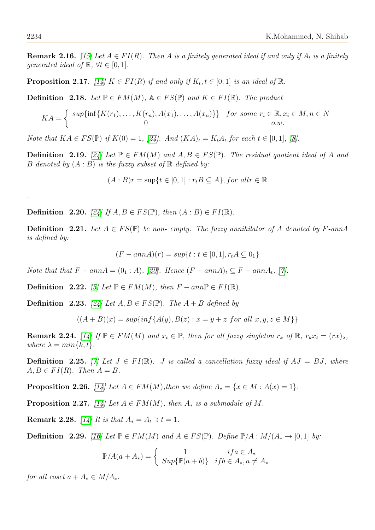**Remark 2.16.** [\[15\]](#page-10-7) Let  $A \in FI(R)$ . Then A is a finitely generated ideal if and only if  $A_t$  is a finitely generated ideal of  $\mathbb{R}, \forall t \in [0,1].$ 

**Proposition 2.17.** [\[14\]](#page-10-12)  $K \in FI(R)$  if and only if  $K_t, t \in [0,1]$  is an ideal of  $\mathbb{R}$ .

**Definition** 2.18. Let  $\mathbb{P} \in FM(M)$ ,  $\mathbb{A} \in FS(\mathbb{P})$  and  $K \in FI(\mathbb{R})$ . The product

$$
KA = \begin{cases} \sup\{\inf\{K(r_1),\ldots,K(r_n),A(x_1),\ldots,A(x_n)\}\} & \text{for some } r_i \in \mathbb{R}, x_i \in M, n \in N \\ 0 & \text{o.w.} \end{cases}
$$

Note that  $KA \in FS(\mathbb{P})$  if  $K(0) = 1$ , [\[24\]](#page-10-5). And  $(KA)_t = K_tA_t$  for each  $t \in [0,1]$ , [\[8\]](#page-10-10).

**Definition** 2.19. [\[24\]](#page-10-5) Let  $\mathbb{P} \in FM(M)$  and  $A, B \in FS(\mathbb{P})$ . The residual quotient ideal of A and B denoted by  $(A : B)$  is the fuzzy subset of  $\mathbb R$  defined by:

 $(A : B)r = \sup\{t \in [0,1] : r_tB \subseteq A\}$ , for all  $r \in \mathbb{R}$ 

**Definition** 2.20. [\[24\]](#page-10-5) If  $A, B \in FS(\mathbb{P})$ , then  $(A : B) \in FI(\mathbb{R})$ .

**Definition** 2.21. Let  $A \in FS(\mathbb{P})$  be non- empty. The fuzzy annihilator of A denoted by F-annA is defined by:

$$
(F - annA)(r) = sup\{t : t \in [0, 1], r_t A \subseteq 0_1\}
$$

Note that that  $F - ann A = (0_1 : A)$ , [\[20\]](#page-10-16). Hence  $(F - ann A)_t \subseteq F - ann A_t$ , [\[7\]](#page-10-17).

Definition 2.22. [\[5\]](#page-10-18) Let  $\mathbb{P} \in FM(M)$ , then  $F - ann \mathbb{P} \in FI(\mathbb{R})$ .

**Definition** 2.23. [\[24\]](#page-10-5) Let  $A, B \in FS(\mathbb{P})$ . The  $A + B$  defined by

$$
((A + B)(x) = sup\{inf\{A(y), B(z) : x = y + z \text{ for all } x, y, z \in M\}\}\
$$

**Remark 2.24.** [\[14\]](#page-10-12) If  $\mathbb{P} \in FM(M)$  and  $x_t \in \mathbb{P}$ , then for all fuzzy singleton  $r_k$  of  $\mathbb{R}$ ,  $r_kx_t = (rx)_{\lambda}$ , where  $\lambda = min\{k, t\}.$ 

**Definition** 2.25. [\[7\]](#page-10-17) Let  $J \in FI(\mathbb{R})$ . *J* is called a cancellation fuzzy ideal if  $AJ = BJ$ , where  $A, B \in FI(R)$ . Then  $A = B$ .

**Proposition 2.26.** [\[14\]](#page-10-12) Let  $A \in FM(M)$ , then we define  $A_* = \{x \in M : A(x) = 1\}$ .

**Proposition 2.27.** [\[14\]](#page-10-12) Let  $A \in FM(M)$ , then  $A_*$  is a submodule of M.

**Remark 2.28.** [\[14\]](#page-10-12) It is that  $A_* = A_t \ni t = 1$ .

**Definition** 2.29. [\[16\]](#page-10-19) Let  $\mathbb{P} \in FM(M)$  and  $A \in FS(\mathbb{P})$ . Define  $\mathbb{P}/A : M/(A_* \to [0,1]$  by:

$$
\mathbb{P}/A(a+A_*) = \begin{cases} 1 & if a \in A_* \\ \operatorname{Sup}\{\mathbb{P}(a+b)\} & if b \in A_*, a \neq A_* \end{cases}
$$

for all coset  $a + A_* \in M/A_*$ .

.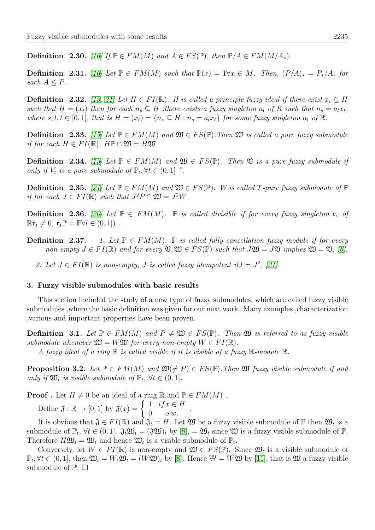**Definition** 2.30. [\[16\]](#page-10-19) If  $\mathbb{P} \in FM(M)$  and  $A \in FS(\mathbb{P})$ , then  $\mathbb{P}/A \in FM(M/A_*)$ .

<span id="page-4-1"></span>Definition 2.31. [\[16\]](#page-10-19) Let  $\mathbb{P} \in FM(M)$  such that  $\mathbb{P}(x) = 1 \forall x \in M$ . Then,  $(P/A)_* = P_*/A_*$  for each  $A \leq P$ .

**Definition** 2.32. [\[13,](#page-10-20) [21\]](#page-10-21) Let  $H \in FI(\mathbb{R})$ . H is called a principle fuzzy ideal if there exist  $x_t \subseteq H$ such that  $H = (x_t)$  then for each  $n_s \subseteq H$ , there exists a fuzzy singleton  $a_t$  of R such that  $n_s = a_t x_t$ , where  $s, l, t \in [0, 1]$ , that is  $H = (x_t) = \{n_s \subseteq H : n_s = a_l x_t\}$  for some fuzzy singleton  $a_l$  of  $\mathbb{R}$ .

**Definition** 2.33. [\[15\]](#page-10-7) Let  $\mathbb{P} \in FM(M)$  and  $\mathfrak{W} \in FS(\mathbb{P})$ . Then  $\mathfrak{W}$  is called a pure fuzzy submodule if for each  $H \in FI(\mathbb{R})$ ,  $H\mathbb{P} \cap \mathfrak{W} = H\mathfrak{W}$ .

<span id="page-4-2"></span>**Definition** 2.34. [\[15\]](#page-10-7) Let  $\mathbb{P} \in FM(M)$  and  $\mathfrak{W} \in FS(\mathbb{P})$ . Then  $\mathfrak{V}$  is a pure fuzzy submodule if only if  $V_t$  is a pure submodule of  $\mathbb{P}_t$ ,  $\forall t \in (0,1]$  ".

**Definition** 2.35. [\[21\]](#page-10-21) Let  $\mathbb{P} \in FM(M)$  and  $\mathfrak{W} \in FS(\mathbb{P})$ . W is called T-pure fuzzy submodule of  $\mathbb{P}$ if for each  $J \in FI(\mathbb{R})$  such that  $J^2P \cap \mathfrak{W} = J^2W$ .

**Definition 2.36.** [\[20\]](#page-10-16) Let  $\mathbb{P} \in FM(M)$ .  $\mathbb{P}$  is called divisible if for every fuzzy singleton  $\mathfrak{r}_1$  of  $\mathbb{R} \mathfrak{r}_1 \neq 0$ ,  $\mathfrak{r}_1 \mathbb{P} = \mathbb{P} \forall l \in (0, 1]$ .

**Definition 2.37.** 1. Let  $\mathbb{P} \in FM(M)$ .  $\mathbb{P}$  is called fully cancellation fuzzy module if for every non-empty  $J \in FI(\mathbb{R})$  and for every  $\mathfrak{V}, \mathfrak{W} \in FS(\mathbb{P})$  such that  $J\mathfrak{W} = J\mathfrak{V}$  implies  $\mathfrak{W} = \mathfrak{V},$  [\[6\]](#page-10-22).

2. Let  $J \in FI(\mathbb{R})$  is non-empty, J is called fuzzy idempotent if  $J = J^2$ , [\[21\]](#page-10-21).

## 3. Fuzzy visible submodules with basic results

This section included the study of a new type of fuzzy submodules, which are called fuzzy visible submodules ,where the basic definition was given for our next work. Many examples ,characterization ,various and important properties have been proven.

**Definition** 3.1. Let  $\mathbb{P} \in FM(M)$  and  $P \neq \mathfrak{W} \in FS(\mathbb{P})$ . Then  $\mathfrak{W}$  is referred to as fuzzy visible submodule whenever  $\mathfrak{W} = W \mathfrak{W}$  for every non-empty  $W \in FI(\mathbb{R})$ .

A fuzzy ideal of a ring  $\mathbb R$  is called visible if it is visible of a fuzzy  $\mathbb R$ -module  $\mathbb R$ .

<span id="page-4-0"></span>**Proposition 3.2.** Let  $\mathbb{P} \in FM(M)$  and  $\mathfrak{W}(\neq P) \in FS(\mathbb{P})$ . Then  $\mathfrak{W}$  fuzzy visible submodule if and only if  $\mathfrak{W}_t$  is visible submodule of  $\mathbb{P}_t$ ,  $\forall t \in (0,1]$ .

**Proof**. Let  $H \neq 0$  be an ideal of a ring R and  $\mathbb{P} \in FM(M)$ . Define  $\mathfrak{J} : \mathbb{R} \to [0,1]$  by  $\mathfrak{J}(x) = \begin{cases} 1 & if x \in H \\ 0 & if x \in H \end{cases}$ .

 $0 \qquad o.w.$ 

It is obvious that  $\mathfrak{J} \in FI(\mathbb{R})$  and  $\mathfrak{J}_t = H$ . Let  $\mathfrak{W}$  be a fuzzy visible submodule of  $\mathbb{P}$  then  $\mathfrak{W}_t$  is a submodule of  $\mathbb{P}_t$ ,  $\forall t \in (0,1]$ .  $\mathfrak{J}_t \mathfrak{W}_t = (\mathfrak{J} \mathfrak{W})_t$  by  $[8]$ ,  $= \mathfrak{W}_t$  since  $\mathfrak{W}$  is a fuzzy visible submodule of  $\mathbb{P}$ . Therefore  $H\mathfrak{W}_t = \mathfrak{W}_t$  and hence  $\mathfrak{W}_t$  is a visible submodule of  $\mathbb{P}_t$ .

Conversely, let  $W \in FI(\mathbb{R})$  is non-empty and  $\mathfrak{W} \in FS(\mathbb{P})$ . Since  $\mathfrak{W}_t$  is a visible submodule of  $\mathbb{P}_t, \forall t \in (0, 1],$  then  $\mathfrak{W}_t = W_t \mathfrak{W}_t = (W \mathfrak{W})_t$  by [\[8\]](#page-10-10). Hence  $\mathbb{W} = W \mathfrak{W}$  by [\[11\]](#page-10-11), that is  $\mathfrak{W}$  a fuzzy visible submodule of  $\mathbb{P}$ .  $\Box$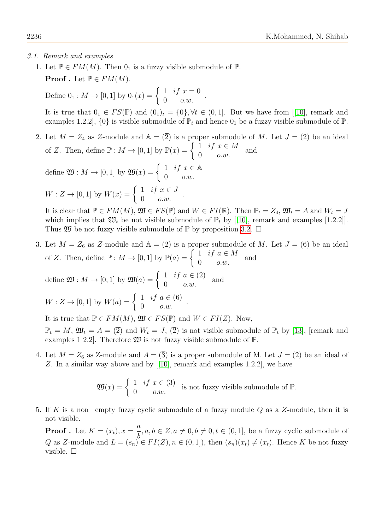### <span id="page-5-0"></span>3.1. Remark and examples

1. Let  $\mathbb{P} \in FM(M)$ . Then  $0_1$  is a fuzzy visible submodule of  $\mathbb{P}$ . **Proof** . Let  $\mathbb{P} \in FM(M)$ .

Define  $0_1 : M \to [0, 1]$  by  $0_1(x) = \begin{cases} 1 & \text{if } x = 0 \\ 0 & \text{otherwise} \end{cases}$  $0$   $o.w.$ 

It is true that  $0_1 \in FS(\mathbb{P})$  and  $(0_1)_t = \{0\}, \forall t \in (0,1]$ . But we have from [[\[10\]](#page-10-23), remark and examples 1.2.2],  $\{0\}$  is visible submodule of  $\mathbb{P}_t$  and hence  $0_1$  be a fuzzy visible submodule of  $\mathbb{P}_t$ .

.

2. Let  $M = Z_4$  as Z-module and  $\mathbb{A} = (\overline{2})$  is a proper submodule of M. Let  $J = (2)$  be an ideal of Z. Then, define  $\mathbb{P}: M \to [0,1]$  by  $\mathbb{P}(x) = \begin{cases} 1 & \text{if } x \in M \\ 0 & \text{otherwise} \end{cases}$  $0$   $o.w.$ and

.

define  $\mathfrak{W}: M \to [0,1]$  by  $\mathfrak{W}(x) = \begin{cases} 1 & \text{if } x \in \mathbb{A} \\ 0 & \text{otherwise} \end{cases}$  $0$   $o.w.$ 

$$
W: Z \to [0, 1] \text{ by } W(x) = \begin{cases} 1 & \text{if } x \in J \\ 0 & o.w. \end{cases}
$$

It is clear that  $\mathbb{P} \in FM(M)$ ,  $\mathfrak{W} \in FS(\mathbb{P})$  and  $W \in FI(\mathbb{R})$ . Then  $\mathbb{P}_t = Z_4$ ,  $\mathfrak{W}_t = A$  and  $W_t = J$ which implies that  $\mathfrak{W}_t$  be not visible submodule of  $\mathbb{P}_t$  by [[\[10\]](#page-10-23), remark and examples [1.2.2]]. Thus  $\mathfrak W$  be not fuzzy visible submodule of  $\mathbb P$  by proposition [3.2.](#page-4-0)  $\Box$ 

3. Let  $M = Z_6$  as Z-module and  $\mathbb{A} = \overline{2}$  is a proper submodule of M. Let  $J = (6)$  be an ideal of Z. Then, define  $\mathbb{P}: M \to [0,1]$  by  $\mathbb{P}(a) = \begin{cases} 1 & \text{if } a \in M \\ 0 & \text{otherwise} \end{cases}$  $0$   $o.w.$ and

.

define  $\mathfrak{W}: M \to [0,1]$  by  $\mathfrak{W}(a) = \begin{cases} 1 & \text{if } a \in (\overline{2}) \\ 0 & \text{otherwise} \end{cases}$  $\begin{array}{cc} 1 & \iota_J & a \in (2) \\ 0 & o.w. \end{array}$  and

$$
W: Z \to [0, 1] \text{ by } W(a) = \begin{cases} 1 & \text{if } a \in (6) \\ 0 & \text{o.w.} \end{cases}
$$

It is true that  $\mathbb{P} \in FM(M), \mathfrak{W} \in FS(\mathbb{P})$  and  $W \in FI(Z)$ . Now,

 $\mathbb{P}_t = M$ ,  $\mathfrak{W}_t = A = (\overline{2})$  and  $W_t = J$ ,  $(\overline{2})$  is not visible submodule of  $\mathbb{P}_t$  by [\[13\]](#page-10-20), [remark and examples 1 2.2. Therefore  $\mathfrak W$  is not fuzzy visible submodule of  $\mathbb P$ .

4. Let  $M = Z_6$  as Z-module and  $A = \overline{3}$  is a proper submodule of M. Let  $J = \overline{2}$  be an ideal of Z. In a similar way above and by [[\[10\]](#page-10-23), remark and examples 1.2.2], we have

$$
\mathfrak{W}(x) = \begin{cases} 1 & \text{if } x \in (\overline{3}) \\ 0 & o.w. \end{cases}
$$
 is not fuzzy visible submodule of  $\mathbb{P}$ .

5. If K is a non-empty fuzzy cyclic submodule of a fuzzy module  $Q$  as a Z-module, then it is not visible.

**Proof** . Let  $K = (x_t)$ ,  $x =$ a b ,  $a, b \in \mathbb{Z}, a \neq 0, b \neq 0, t \in (0, 1],$  be a fuzzy cyclic submodule of Q as Z-module and  $L = (s_n) \in FI(Z), n \in (0,1]$ , then  $(s_n)(x_t) \neq (x_t)$ . Hence K be not fuzzy visible. □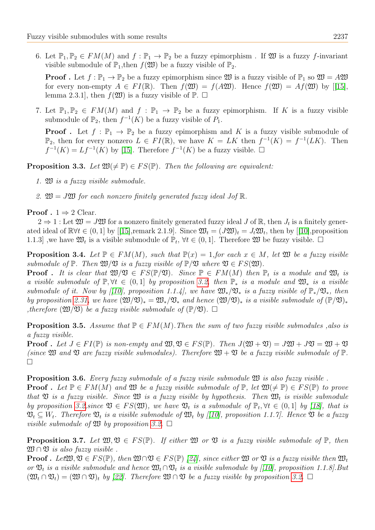6. Let  $\mathbb{P}_1, \mathbb{P}_2 \in FM(M)$  and  $f : \mathbb{P}_1 \to \mathbb{P}_2$  be a fuzzy epimorphism. If  $\mathfrak{W}$  is a fuzzy f-invariant visible submodule of  $\mathbb{P}_1$ , then  $f(\mathfrak{W})$  be a fuzzy visible of  $\mathbb{P}_2$ .

**Proof**. Let  $f : \mathbb{P}_1 \to \mathbb{P}_2$  be a fuzzy epimorphism since  $\mathfrak{W}$  is a fuzzy visible of  $\mathbb{P}_1$  so  $\mathfrak{W} = A\mathfrak{W}$ for every non-empty  $A \in FI(\mathbb{R})$ . Then  $f(\mathfrak{W}) = f(A\mathfrak{W})$ . Hence  $f(\mathfrak{W}) = Af(\mathfrak{W})$  by [[\[15\]](#page-10-7), lemma 2.3.1], then  $f(\mathfrak{W})$  is a fuzzy visible of  $\mathbb{P}$ .  $\Box$ 

7. Let  $\mathbb{P}_1, \mathbb{P}_2 \in FM(M)$  and  $f : \mathbb{P}_1 \to \mathbb{P}_2$  be a fuzzy epimorphism. If K is a fuzzy visible submodule of  $\mathbb{P}_2$ , then  $f^{-1}(K)$  be a fuzzy visible of  $P_1$ .

**Proof**. Let  $f : \mathbb{P}_1 \to \mathbb{P}_2$  be a fuzzy epimorphism and K is a fuzzy visible submodule of  $\mathbb{P}_2$ , then for every nonzero  $L \in FI(\mathbb{R})$ , we have  $K = LK$  then  $f^{-1}(K) = f^{-1}(LK)$ . Then  $f^{-1}(K) = Lf^{-1}(K)$  by [\[15\]](#page-10-7). Therefore  $f^{-1}(K)$  be a fuzzy visible.  $\square$ 

**Proposition 3.3.** Let  $\mathfrak{W}(\neq \mathbb{P}) \in FS(\mathbb{P})$ . Then the following are equivalent:

- 1. W is a fuzzy visible submodule.
- 2.  $\mathfrak{W} = J\mathfrak{W}$  for each nonzero finitely generated fuzzy ideal Jof  $\mathbb{R}$ .

#### **Proof** .  $1 \Rightarrow 2$  Clear.

 $2 \Rightarrow 1$ : Let  $\mathfrak{W} = J\mathfrak{W}$  for a nonzero finitely generated fuzzy ideal J of R, then  $J_t$  is a finitely generated ideal of  $\mathbb{R} \forall t \in (0,1]$  by [[\[15\]](#page-10-7), remark 2.1.9]. Since  $\mathfrak{W}_t = (J\mathfrak{W}_t = J_t\mathfrak{W}_t$ , then by [[\[10\]](#page-10-23), proposition 1.1.3], we have  $\mathfrak{W}_t$  is a visible submodule of  $\mathbb{P}_t$ ,  $\forall t \in (0,1]$ . Therefore  $\mathfrak{W}$  be fuzzy visible.  $\Box$ 

**Proposition 3.4.** Let  $\mathbb{P} \in FM(M)$ , such that  $\mathbb{P}(x) = 1$ , for each  $x \in M$ , let  $\mathfrak{W}$  be a fuzzy visible submodule of  $\mathbb{P}$ . Then  $\mathfrak{W}/\mathfrak{V}$  is a fuzzy visible of  $\mathbb{P}/\mathfrak{V}$  where  $\mathfrak{V} \in FS(\mathfrak{W})$ .

**Proof**. It is clear that  $\mathfrak{W}/\mathfrak{V} \in FS(\mathbb{P}/\mathfrak{V})$ . Since  $\mathbb{P} \in FM(M)$  then  $\mathbb{P}_t$  is a module and  $\mathfrak{W}_t$  is a visible submodule of  $\mathbb{P}, \forall t \in (0,1]$  by proposition [3.2,](#page-4-0) then  $\mathbb{P}_*$  is a module and  $\mathfrak{W}_*$  is a visible submodule of it. Now by [[\[10\]](#page-10-23), proposition 1.1.4], we have  $\mathfrak{W}_*/\mathfrak{V}_*$  is a fuzzy visible of  $\mathbb{P}_*/\mathfrak{V}_*$ , then by proposition [2.31,](#page-4-1) we have  $(\mathfrak{W}/\mathfrak{V})_* = \mathfrak{W}_*/\mathfrak{V}_*$  and hence  $(\mathfrak{W}/\mathfrak{V})_*$  is a visible submodule of  $(\mathbb{P}/\mathfrak{V})_*$ , therefore  $(\mathfrak{W}/\mathfrak{V})$  be a fuzzy visible submodule of  $(\mathbb{P}/\mathfrak{V})$ .  $\Box$ 

**Proposition 3.5.** Assume that  $\mathbb{P} \in FM(M)$ . Then the sum of two fuzzy visible submodules , also is a fuzzy visible.

**Proof** . Let  $J \in FI(\mathbb{P})$  is non-empty and  $\mathfrak{W}, \mathfrak{V} \in FS(\mathbb{P})$ . Then  $J(\mathfrak{W}+\mathfrak{V})=J\mathfrak{W}+J\mathfrak{V}=\mathfrak{W}+\mathfrak{V}$ (since  $\mathfrak M$  and  $\mathfrak V$  are fuzzy visible submodules). Therefore  $\mathfrak W+\mathfrak V$  be a fuzzy visible submodule of  $\mathbb P$ . □

<span id="page-6-0"></span>**Proposition 3.6.** Every fuzzy submodule of a fuzzy visile submodule  $\mathfrak{W}$  is also fuzzy visible.

**Proof** . Let  $\mathbb{P} \in FM(M)$  and  $\mathfrak{W}$  be a fuzzy visible submodule of  $\mathbb{P}$ , let  $\mathfrak{W}(\neq \mathbb{P}) \in FS(\mathbb{P})$  to prove that  $\mathfrak V$  is a fuzzy visible. Since  $\mathfrak W$  is a fuzzy visible by hypothesis. Then  $\mathfrak W_t$  is visible submodule by proposition [3.2,](#page-4-0) since  $\mathfrak{V} \in FS(\mathfrak{W})$ , we have  $\mathfrak{V}_t$  is a submodule of  $\mathbb{P}_t$ ,  $\forall t \in (0,1]$  by [\[18\]](#page-10-24), that is  $\mathfrak{V}_t \subseteq W_t$ . Therefore  $\mathfrak{V}_t$  is a visible submodule of  $\mathfrak{W}_t$  by [[\[10\]](#page-10-23), proposition 1.1.7]. Hence  $\mathfrak{V}$  be a fuzzy visible submodule of  $\mathfrak W$  by proposition [3.2.](#page-4-0)  $\square$ 

<span id="page-6-1"></span>**Proposition 3.7.** Let  $\mathfrak{W}, \mathfrak{V} \in FS(\mathbb{P})$ . If either  $\mathfrak{W}$  or  $\mathfrak{V}$  is a fuzzy visible submodule of  $\mathbb{P}$ , then  $\mathfrak{W} \cap \mathfrak{V}$  is also fuzzy visible.

**Proof.** Let  $\mathfrak{W}, \mathfrak{V} \in FS(\mathbb{P})$ , then  $\mathfrak{W} \cap \mathfrak{V} \in FS(\mathbb{P})$  [\[24\]](#page-10-5), since either  $\mathfrak{W}$  or  $\mathfrak{V}$  is a fuzzy visible then  $\mathfrak{W}_t$ or  $\mathfrak{V}_t$  is a visible submodule and hence  $\mathfrak{W}_t \cap \mathfrak{V}_t$  is a visible submodule by [[\[10\]](#page-10-23), proposition 1.1.8]. But  $(\mathfrak{W}_t \cap \mathfrak{V}_t) = (\mathfrak{W} \cap \mathfrak{V})_t$  by [\[22\]](#page-10-0). Therefore  $\mathfrak{W} \cap \mathfrak{V}$  be a fuzzy visible by proposition [3.2.](#page-4-0)  $\Box$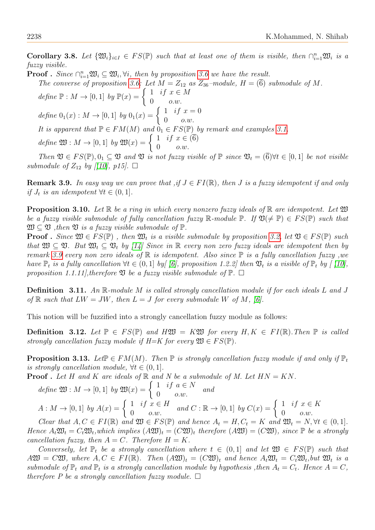**Corollary 3.8.** Let  $\{\mathfrak{W}_i\}_{i\in I} \in FS(\mathbb{P})$  such that at least one of them is visible, then  $\bigcap_{i=1}^n \mathfrak{W}_i$  is a fuzzy visible.

**Proof** . Since  $\bigcap_{i=1}^n \mathfrak{W}_i \subseteq \mathfrak{W}_i$ ,  $\forall i$ , then by proposition [3.6](#page-6-0) we have the result.

The converse of proposition [3.6:](#page-6-0) Let  $M = Z_{12}$  as  $Z_{36}$ -module,  $H = (\overline{6})$  submodule of M.

define  $\mathbb{P}: M \to [0,1]$  by  $\mathbb{P}(x) = \begin{cases} 1 & \text{if } x \in M \\ 0 & \text{otherwise} \end{cases}$  $0$   $o.w.$ define  $0_1(x) : M \to [0,1]$  by  $0_1(x) = \begin{cases} 1 & \text{if } x = 0 \\ 0 & \text{otherwise} \end{cases}$  $0 \qquad o.w.$ It is apparent that  $\mathbb{P} \in FM(M)$  and  $\mathfrak{d}_1 \in FS(\mathbb{P})$  by remark and examples [3.1.](#page-5-0) define  $\mathfrak{W}: M \to [0,1]$  by  $\mathfrak{W}(x) = \begin{cases} 1 & \text{if } x \in (\overline{6}) \\ 0 & \text{otherwise} \end{cases}$  $0$   $o.w.$ 

Then  $\mathfrak{V} \in FS(\mathbb{P}), 0_1 \subseteq \mathfrak{V}$  and  $\mathfrak{V}$  is not fuzzy visible of  $\mathbb{P}$  since  $\mathfrak{V}_t = \overline{6}$ ) $\forall t \in [0,1]$  be not visible submodule of  $Z_{12}$  by  $[10]$ , p15].  $\Box$ 

<span id="page-7-0"></span>**Remark 3.9.** In easy way we can prove that ,if  $J \in FI(\mathbb{R})$ , then J is a fuzzy idempotent if and only if  $J_t$  is an idempotent  $\forall t \in (0,1]$ .

**Proposition 3.10.** Let  $\mathbb{R}$  be a ring in which every nonzero fuzzy ideals of  $\mathbb{R}$  are idempotent. Let  $\mathfrak{W}$ be a fuzzy visible submodule of fully cancellation fuzzy R-module P. If  $\mathfrak{V}(\neq \mathbb{P}) \in FS(\mathbb{P})$  such that  $\mathfrak{W} \subset \mathfrak{V}$ , then  $\mathfrak{V}$  is a fuzzy visible submodule of  $\mathbb{P}$ .

**Proof**. Since  $\mathfrak{W} \in FS(\mathbb{P})$ , then  $\mathfrak{W}_t$  is a visible submodule by proposition [3.2,](#page-4-0) let  $\mathfrak{V} \in FS(\mathbb{P})$  such that  $\mathfrak{W} \subseteq \mathfrak{V}$ . But  $\mathfrak{W}_t \subseteq \mathfrak{V}_t$  by [\[14\]](#page-10-12) Since in  $\mathbb R$  every non zero fuzzy ideals are idempotent then by remark [3.9](#page-7-0) every non zero ideals of  $\mathbb R$  is idempotent. Also since  $\mathbb P$  is a fully cancellation fuzzy, we have  $\mathbb{P}_t$  is a fully cancellation  $\forall t \in (0,1]$  by [\[6\]](#page-10-22), proposition 1.2.2] then  $\mathfrak{V}_t$  is a visible of  $\mathbb{P}_t$  by [\[10\]](#page-10-23), proposition 1.1.11], therefore  $\mathfrak V$  be a fuzzy visible submodule of  $\mathbb P$ .  $\Box$ 

**Definition** 3.11. An R-module M is called strongly cancellation module if for each ideals L and J of  $\mathbb R$  such that  $LW = JW$ , then  $L = J$  for every submodule W of M, [\[6\]](#page-10-22).

This notion will be fuzzified into a strongly cancellation fuzzy module as follows:

**Definition 3.12.** Let  $\mathbb{P} \in FS(\mathbb{P})$  and  $H \mathfrak{W} = K \mathfrak{W}$  for every  $H, K \in FI(\mathbb{R})$ . Then  $\mathbb{P}$  is called strongly cancellation fuzzy module if  $H=K$  for every  $\mathfrak{W} \in FS(\mathbb{P})$ .

**Proposition 3.13.** Let  $\mathbb{P} \in FM(M)$ . Then  $\mathbb{P}$  is strongly cancellation fuzzy module if and only if  $\mathbb{P}_t$ is strongly cancellation module,  $\forall t \in (0,1]$ .

**Proof**. Let H and K are ideals of  $\mathbb R$  and N be a submodule of M. Let  $HN = KN$ .

define 
$$
\mathfrak{W}: M \to [0,1]
$$
 by  $\mathfrak{W}(x) = \begin{cases} 1 & \text{if } a \in N \\ 0 & o.w. \end{cases}$  and  
\n
$$
A: M \to [0,1]
$$
 by  $A(x) = \begin{cases} 1 & \text{if } x \in H \\ 0 & o.w. \end{cases}$  and  $C: \mathbb{R} \to [0,1]$  by  $C(x) = \begin{cases} 1 & \text{if } x \in K \\ 0 & o.w. \end{cases}$ 

Clear that  $A, C \in FI(\mathbb{R})$  and  $\mathfrak{W} \in FS(\mathbb{P})$  and hence  $A_t = H, C_t = K$  and  $\mathfrak{W}_t = N, \forall t \in (0,1].$ Hence  $A_t \mathfrak{W}_t = C_t \mathfrak{W}_t$ , which implies  $(A \mathfrak{W})_t = (C \mathfrak{W})_t$  therefore  $(A \mathfrak{W}) = (C \mathfrak{W})_t$ , since  $\mathbb P$  be a strongly cancellation fuzzy, then  $A = C$ . Therefore  $H = K$ .

Conversely, let  $\mathbb{P}_t$  be a strongly cancellation where  $t \in (0,1]$  and let  $\mathfrak{W} \in FS(\mathbb{P})$  such that  $A\mathfrak{W} = C\mathfrak{W}$ , where  $A, C \in FI(\mathbb{R})$ . Then  $(A\mathfrak{W})_t = (C\mathfrak{W})_t$  and hence  $A_t\mathfrak{W}_t = C_t\mathfrak{W}_t$ , but  $\mathfrak{W}_t$  is a submodule of  $\mathbb{P}_t$  and  $\mathbb{P}_t$  is a strongly cancellation module by hypothesis , then  $A_t = C_t$ . Hence  $A = C$ , therefore P be a strongly cancellation fuzzy module.  $\square$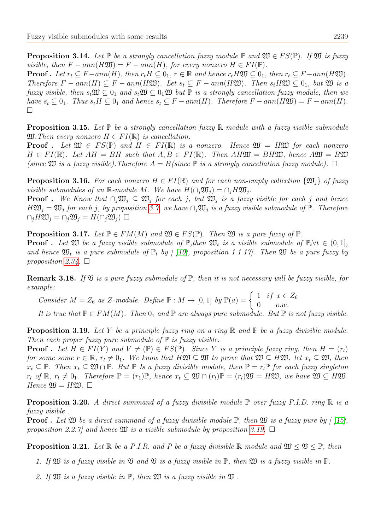**Proposition 3.14.** Let  $\mathbb P$  be a strongly cancellation fuzzy module  $\mathbb P$  and  $\mathfrak{W} \in FS(\mathbb P)$ . If  $\mathfrak{W}$  is fuzzy visible, then  $F - ann(H\mathfrak{W}) = F - ann(H)$ , for every nonzero  $H \in FI(\mathbb{P})$ . **Proof**. Let  $r_t \subseteq F - ann(H)$ , then  $r_t H \subseteq 0_1$ ,  $r \in \mathbb{R}$  and hence  $r_t H \mathfrak{W} \subseteq 0_1$ , then  $r_t \subseteq F - ann(H \mathfrak{W})$ . Therefore  $F - ann(H) \subseteq F - ann(H\mathfrak{W})$ . Let  $s_t \subseteq F - ann(H\mathfrak{W})$ . Then  $s_t H\mathfrak{W} \subseteq 0_1$ , but  $\mathfrak{W}$  is a fuzzy visible, then  $s_t \mathfrak{W} \subseteq 0_1$  and  $s_t \mathfrak{W} \subseteq 0_1 \mathfrak{W}$  but  $\mathbb{P}$  is a strongly cancellation fuzzy module, then we have  $s_t \subseteq 0_1$ . Thus  $s_t H \subseteq 0_1$  and hence  $s_t \subseteq F - ann(H)$ . Therefore  $F - ann(H\mathfrak{W}) = F - ann(H)$ . □

**Proposition 3.15.** Let  $\mathbb{P}$  be a strongly cancellation fuzzy  $\mathbb{R}$ -module with a fuzzy visible submodule  $\mathfrak{W}$ . Then every nonzero  $H \in FI(\mathbb{R})$  is cancellation.

**Proof** . Let  $\mathfrak{W} \in FS(\mathbb{P})$  and  $H \in FI(\mathbb{R})$  is a nonzero. Hence  $\mathfrak{W} = H\mathfrak{W}$  for each nonzero  $H \in FI(\mathbb{R})$ . Let  $AH = BH$  such that  $A, B \in FI(\mathbb{R})$ . Then  $AH\mathfrak{W} = BH\mathfrak{W}$ , hence  $A\mathfrak{W} = B\mathfrak{W}$ (since  $\mathfrak M$  is a fuzzy visible). Therefore  $A = B$ (since  $\mathbb P$  is a strongly cancellation fuzzy module).  $\Box$ 

**Proposition 3.16.** For each nonzero  $H \in FI(\mathbb{R})$  and for each non-empty collection  $\{\mathfrak{W}_i\}$  of fuzzy visible submodules of an R-module M. We have  $H(\bigcap_i \mathfrak{W}_i) = \bigcap_i H\mathfrak{W}_i$ .

**Proof**. We Know that  $\bigcap_i \mathfrak{W}_i \subseteq \mathfrak{W}_i$  for each j, but  $\mathfrak{W}_i$  is a fuzzy visible for each j and hence  $H\mathfrak{W}_j = \mathfrak{W}_j$  for each j, by proposition [3.7,](#page-6-1) we have  $\bigcap_j \mathfrak{W}_j$  is a fuzzy visible submodule of  $\mathbb{P}$ . Therefore  $\cap_i H\mathfrak{W}_i = \cap_i \mathfrak{W}_i = H(\cap_i \mathfrak{W}_i) \square$ 

<span id="page-8-1"></span>**Proposition 3.17.** Let  $\mathbb{P} \in FM(M)$  and  $\mathfrak{W} \in FS(\mathbb{P})$ . Then  $\mathfrak{W}$  is a pure fuzzy of  $\mathbb{P}$ . **Proof**. Let  $\mathfrak{W}$  be a fuzzy visible submodule of  $\mathbb{P}$ , then  $\mathfrak{W}_t$  is a visible submodule of  $\mathbb{P}_t \forall t \in (0,1]$ , and hence  $\mathfrak{W}_t$  is a pure submodule of  $\mathbb{P}_t$  by [ [\[10\]](#page-10-23), proposition 1.1.17]. Then  $\mathfrak{W}$  be a pure fuzzy by proposition [2.34.](#page-4-2)  $\Box$ 

**Remark 3.18.** If  $\mathfrak V$  is a pure fuzzy submodule of  $\mathbb P$ , then it is not necessary will be fuzzy visible, for example:

Consider  $M = Z_6$  as Z-module. Define  $\mathbb{P}: M \to [0,1]$  by  $\mathbb{P}(a) = \begin{cases} 1 & \text{if } x \in Z_6 \\ 0 & \text{otherwise} \end{cases}$  $0$   $o.w.$ 

It is true that  $\mathbb{P} \in FM(M)$ . Then  $0_1$  and  $\mathbb{P}$  are always pure submodule. But  $\mathbb{P}$  is not fuzzy visible.

<span id="page-8-0"></span>**Proposition 3.19.** Let Y be a principle fuzzy ring on a ring  $\mathbb{R}$  and  $\mathbb{P}$  be a fuzzy divisible module. Then each proper fuzzy pure submodule of  $\mathbb P$  is fuzzy visible.

**Proof**. Let  $H \in FI(Y)$  and  $V \neq (\mathbb{P}) \in FS(\mathbb{P})$ . Since Y is a principle fuzzy ring, then  $H = (r_1)$ for some some  $r \in \mathbb{R}$ ,  $r_l \neq 0_1$ . We know that  $H\mathfrak{W} \subseteq \mathfrak{W}$  to prove that  $\mathfrak{W} \subseteq H\mathfrak{W}$ . let  $x_t \subseteq \mathfrak{W}$ , then  $x_t \subseteq \mathbb{P}$ . Then  $x_t \subseteq \mathfrak{W} \cap \mathbb{P}$ . But  $\mathbb{P}$  Is a fuzzy divisible module, then  $\mathbb{P} = r_t \mathbb{P}$  for each fuzzy singleton  $r_l$  of  $\mathbb{R}, r_l \neq 0_1$ . Therefore  $\mathbb{P} = (r_1)\mathbb{P}$ , hence  $x_t \subseteq \mathfrak{W} \cap (r_l)\mathbb{P} = (r_l)\mathfrak{W} = H\mathfrak{W}$ , we have  $\mathfrak{W} \subseteq H\mathfrak{W}$ . Hence  $\mathfrak{W} = H \mathfrak{W}$ .  $\Box$ 

**Proposition 3.20.** A direct summand of a fuzzy divisible module  $\mathbb P$  over fuzzy P.I.D. ring  $\mathbb R$  is a fuzzy visible .

**Proof** . Let  $\mathfrak M$  be a direct summand of a fuzzy divisible module  $\mathbb P$ , then  $\mathfrak M$  is a fuzzy pure by [\[15\]](#page-10-7), proposition 2.2.7] and hence  $\mathfrak W$  is a visible submodule by proposition [3.19.](#page-8-0)  $\Box$ 

**Proposition 3.21.** Let  $\mathbb{R}$  be a P.I.R. and P be a fuzzy divisible  $\mathbb{R}$ -module and  $\mathfrak{W} \leq \mathfrak{V} \leq \mathbb{P}$ , then

- 1. If  $\mathfrak W$  is a fuzzy visible in  $\mathfrak V$  and  $\mathfrak V$  is a fuzzy visible in  $\mathbb P$ , then  $\mathfrak W$  is a fuzzy visible in  $\mathbb P$ .
- 2. If  $\mathfrak W$  is a fuzzy visible in  $\mathbb P$ , then  $\mathfrak W$  is a fuzzy visible in  $\mathfrak V$ .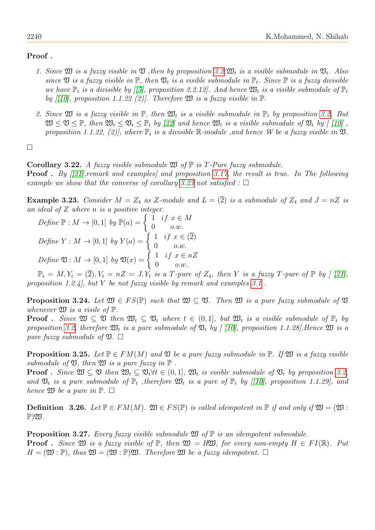## Proof .

- 1. Since  $\mathfrak W$  is a fuzzy visible in  $\mathfrak V$ , then by proposition [3.2](#page-4-0)  $\mathfrak W_t$  is a visible submodule in  $\mathfrak V_t$ . Also since  $\mathfrak V$  is a fuzzy visible in  $\mathbb P$ , then  $\mathfrak V_t$  is a visible submodule in  $\mathbb P_t$ . Since  $\mathbb P$  is a fuzzy divisible we have  $\mathbb{P}_t$  is a divisible by [[\[5\]](#page-10-18), proposition 2.2.12]. And hence  $\mathfrak{W}_t$  is a visible submodule of  $\mathbb{P}_t$ by [[\[10\]](#page-10-23), proposition 1.1.22 (2)]. Therefore  $\mathfrak W$  is a fuzzy visible in  $\mathbb P$ .
- 2. Since  $\mathfrak W$  is a fuzzy visible in  $\mathbb P$ , then  $\mathfrak W_t$  is a visible submodule in  $\mathbb P_t$  by proposition [3.2.](#page-4-0) But  $\mathfrak{W} \leq \mathfrak{V} \leq \mathbb{P}$ , then  $\mathfrak{W}_t \leq \mathfrak{V}_t \leq \mathbb{P}_t$  by [\[22\]](#page-10-0) and hence  $\mathfrak{W}_t$  is a visible submodule of  $\mathfrak{V}_t$  by [\[10\]](#page-10-23), proposition 1.1.22, (2), where  $\mathbb{P}_t$  is a divisible  $\mathbb{R}\text{-module}$ , and hence W be a fuzzy visible in  $\mathfrak{V}$ .

□

Corollary 3.22. A fuzzy visible submodule  $\mathfrak W$  of  $\mathbb P$  is T-Pure fuzzy submodule.

**Proof** . By  $[21]$ , remark and examples) and proposition [3.17,](#page-8-1) the result is true. In The following example we show that the converse of corollary [3.23](#page-9-0) not satisfied :  $\Box$ 

<span id="page-9-0"></span>**Example 3.23.** Consider  $M = Z_4$  as Z-module and  $L = (\overline{2})$  is a submodule of  $Z_4$  and  $J = nZ$  is an ideal of Z where n is a positive integer.

Define 
$$
\mathbb{P}: M \to [0, 1]
$$
 by  $\mathbb{P}(a) = \begin{cases} 1 & \text{if } x \in M \\ 0 & o.w. \end{cases}$   
Define  $Y: M \to [0, 1]$  by  $Y(a) = \begin{cases} 1 & \text{if } x \in (\overline{2}) \\ 0 & o.w. \end{cases}$   
Define  $\mathfrak{V}: M \to [0, 1]$  by  $\mathfrak{V}(x) = \begin{cases} 1 & \text{if } x \in nZ \\ 0 & o.w. \end{cases}$ 

 $\mathbb{P}_t = M, Y_t = (\overline{2}), V_t = nZ = J, Y_t$  is a  $T$ -pure of  $Z_4$ , then Y is a fuzzy  $T$ -pure of  $\mathbb{P}$  by [[\[21\]](#page-10-21), proposition 1.2.4], but Y be not fuzzy visible by remark and examples  $3.1$ .

**Proposition 3.24.** Let  $\mathfrak{W} \in FS(\mathbb{P})$  such that  $\mathfrak{W} \subset \mathfrak{V}$ . Then  $\mathfrak{W}$  is a pure fuzzy submodule of  $\mathfrak{V}$ whenever  $\mathfrak W$  is a visile of  $\mathbb P$ .

**Proof**. Since  $\mathfrak{W} \subseteq \mathfrak{V}$  then  $\mathfrak{W}_t \subseteq \mathfrak{V}_t$  where  $t \in (0,1]$ , but  $\mathfrak{W}_t$  is a visible submodule of  $\mathbb{P}_t$  by proposition [3.2,](#page-4-0) therefore  $\mathfrak{W}_t$  is a pure submodule of  $\mathfrak{V}_t$  by [ [\[10\]](#page-10-23), proposition 1.1.28]. Hence  $\mathfrak{W}$  is a pure fuzzy submodule of  $\mathfrak{V}$ .  $\square$ 

**Proposition 3.25.** Let  $\mathbb{P} \in FM(M)$  and  $\mathfrak{V}$  be a pure fuzzy submodule in  $\mathbb{P}$ . If  $\mathfrak{V}$  is a fuzzy visible submodule of  $\mathfrak V$ , then  $\mathfrak W$  is a pure fuzzy in  $\mathbb P$ .

**Proof** . Since  $\mathfrak{W} \subset \mathfrak{V}$  then  $\mathfrak{W}_t \subset \mathfrak{V}_t \forall t \in (0,1], \mathfrak{W}_t$  is visible submodule of  $\mathfrak{V}_t$  by proposition [3.2,](#page-4-0) and  $\mathfrak{V}_t$  is a pure submodule of  $\mathbb{P}_t$ , therefore  $\mathfrak{W}_t$  is a pure of  $\mathbb{P}_t$  by [[\[10\]](#page-10-23), proposition 1.1.29], and hence  $\mathfrak W$  be a pure in  $\mathbb P$ .  $\Box$ 

**Definition** 3.26. Let  $\mathbb{P} \in FM(M)$ .  $\mathfrak{W} \in FS(\mathbb{P})$  is called idempotent in  $\mathbb{P}$  if and only if  $\mathfrak{W} = \mathfrak{W}$ :  $\mathbb{P}$ ) $\mathfrak{W}$ .

**Proposition 3.27.** Every fuzzy visible submodule  $\mathfrak{W}$  of  $\mathbb{P}$  is an idempotent submodule. **Proof** . Since  $\mathfrak{W}$  is a fuzzy visible of  $\mathbb{P}$ , then  $\mathfrak{W} = H\mathfrak{W}$ , for every non-empty  $H \in FI(\mathbb{R})$ . Put  $H = (\mathfrak{W} : \mathbb{P})$ , thus  $\mathfrak{W} = (\mathfrak{W} : \mathbb{P})\mathfrak{W}$ . Therefore  $\mathfrak{W}$  be a fuzzy idempotent.  $\Box$